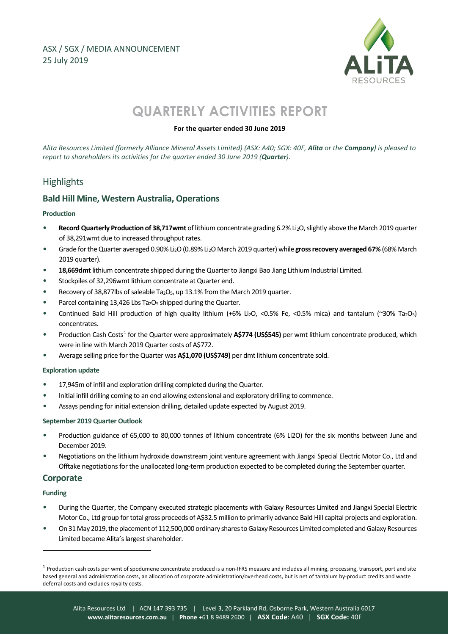

# **QUARTERLY ACTIVITIES REPORT**

# **For the quarter ended 30 June 2019**

*Alita Resources Limited (formerly Alliance Mineral Assets Limited) (ASX: A40; SGX: 40F, Alita or the Company) is pleased to report to shareholders its activities for the quarter ended 30 June 2019 (Quarter).*

# **Highlights**

# **Bald Hill Mine, Western Australia, Operations**

#### **Production**

- **Record Quarterly Production of 38,717wmt** of lithium concentrate grading 6.2% Li2O, slightly above the March 2019 quarter of 38,291wmt due to increased throughput rates.
- Grade for the Quarter averaged 0.90% Li2O (0.89% Li2O March 2019 quarter) while **gross recovery averaged 67%** (68% March 2019 quarter).
- **18,669dmt** lithium concentrate shipped during the Quarter to Jiangxi Bao Jiang Lithium Industrial Limited.
- Stockpiles of 32,296wmt lithium concentrate at Quarter end.
- Recovery of 38,877lbs of saleable Ta<sub>2</sub>O<sub>5</sub>, up 13.1% from the March 2019 quarter.
- Parcel containing 13,426 Lbs  $Ta<sub>2</sub>O<sub>5</sub>$  shipped during the Quarter.
- Continued Bald Hill production of high quality lithium (+6% Li<sub>2</sub>O, <0.5% Fe, <0.5% mica) and tantalum (~30% Ta<sub>2</sub>O<sub>5</sub>) concentrates.
- Production Cash Costs[1](#page-0-0) for the Quarter were approximately **A\$774 (US\$545)** per wmt lithium concentrate produced, which were in line with March 2019 Quarter costs of A\$772.
- Average selling price for the Quarter was **A\$1,070 (US\$749)** per dmt lithium concentrate sold.

#### **Exploration update**

- 17,945m of infill and exploration drilling completed during the Quarter.
- Initial infill drilling coming to an end allowing extensional and exploratory drilling to commence.
- Assays pending for initial extension drilling, detailed update expected by August 2019.

#### **September 2019 Quarter Outlook**

- Production guidance of 65,000 to 80,000 tonnes of lithium concentrate (6% Li2O) for the six months between June and December 2019.
- Negotiations on the lithium hydroxide downstream joint venture agreement with Jiangxi Special Electric Motor Co., Ltd and Offtake negotiations for the unallocated long-term production expected to be completed during the September quarter.

# **Corporate**

# **Funding**

1

- During the Quarter, the Company executed strategic placements with Galaxy Resources Limited and Jiangxi Special Electric Motor Co., Ltd group for total gross proceeds of A\$32.5 million to primarily advance Bald Hill capital projects and exploration.
- On 31 May 2019, the placement of 112,500,000 ordinary shares to Galaxy Resources Limited completed and Galaxy Resources Limited became Alita's largest shareholder.

<span id="page-0-0"></span><sup>&</sup>lt;sup>1</sup> Production cash costs per wmt of spodumene concentrate produced is a non-IFRS measure and includes all mining, processing, transport, port and site based general and administration costs, an allocation of corporate administration/overhead costs, but is net of tantalum by-product credits and waste deferral costs and excludes royalty costs.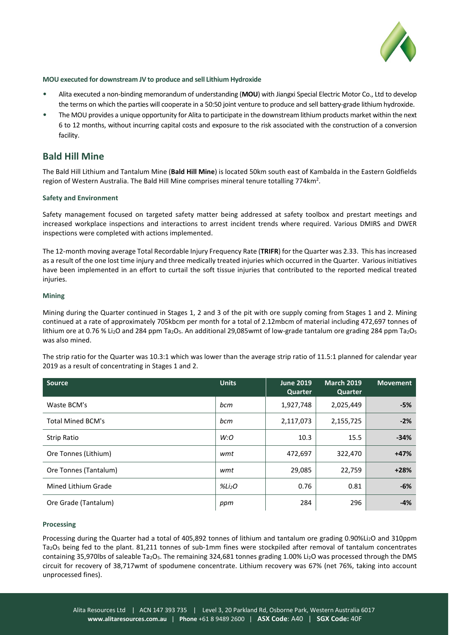

#### **MOU executed for downstream JV to produce and sell Lithium Hydroxide**

- Alita executed a non-binding memorandum of understanding (**MOU**) with Jiangxi Special Electric Motor Co., Ltd to develop the terms on which the parties will cooperate in a 50:50 joint venture to produce and sell battery-grade lithium hydroxide.
- The MOU provides a unique opportunity for Alita to participate in the downstream lithium products market within the next 6 to 12 months, without incurring capital costs and exposure to the risk associated with the construction of a conversion facility.

# **Bald Hill Mine**

The Bald Hill Lithium and Tantalum Mine (**Bald Hill Mine**) is located 50km south east of Kambalda in the Eastern Goldfields region of Western Australia. The Bald Hill Mine comprises mineral tenure totalling 774km<sup>2</sup>.

#### **Safety and Environment**

Safety management focused on targeted safety matter being addressed at safety toolbox and prestart meetings and increased workplace inspections and interactions to arrest incident trends where required. Various DMIRS and DWER inspections were completed with actions implemented.

The 12-month moving average Total Recordable Injury Frequency Rate (**TRIFR**) for the Quarter was 2.33. This has increased as a result of the one lost time injury and three medically treated injuries which occurred in the Quarter. Various initiatives have been implemented in an effort to curtail the soft tissue injuries that contributed to the reported medical treated injuries.

#### **Mining**

Mining during the Quarter continued in Stages 1, 2 and 3 of the pit with ore supply coming from Stages 1 and 2. Mining continued at a rate of approximately 705kbcm per month for a total of 2.12mbcm of material including 472,697 tonnes of lithium ore at 0.76 % Li<sub>2</sub>O and 284 ppm Ta<sub>2</sub>O<sub>5</sub>. An additional 29,085wmt of low-grade tantalum ore grading 284 ppm Ta<sub>2</sub>O<sub>5</sub> was also mined.

The strip ratio for the Quarter was 10.3:1 which was lower than the average strip ratio of 11.5:1 planned for calendar year 2019 as a result of concentrating in Stages 1 and 2.

| <b>Source</b>            | <b>Units</b>       | <b>June 2019</b><br>Quarter | March 2019<br>Quarter | <b>Movement</b> |
|--------------------------|--------------------|-----------------------------|-----------------------|-----------------|
| Waste BCM's              | bcm                | 1,927,748                   | 2,025,449             | $-5%$           |
| <b>Total Mined BCM's</b> | bcm                | 2,117,073                   | 2,155,725             | $-2%$           |
| Strip Ratio              | W:O                | 10.3                        | 15.5                  | $-34%$          |
| Ore Tonnes (Lithium)     | wmt                | 472,697                     | 322,470               | $+47%$          |
| Ore Tonnes (Tantalum)    | wmt                | 29,085                      | 22,759                | $+28%$          |
| Mined Lithium Grade      | %Li <sub>2</sub> O | 0.76                        | 0.81                  | $-6%$           |
| Ore Grade (Tantalum)     | ppm                | 284                         | 296                   | $-4%$           |

#### **Processing**

Processing during the Quarter had a total of 405,892 tonnes of lithium and tantalum ore grading 0.90%Li2O and 310ppm Ta2O5 being fed to the plant. 81,211 tonnes of sub-1mm fines were stockpiled after removal of tantalum concentrates containing 35,970lbs of saleable Ta<sub>2</sub>O<sub>5</sub>. The remaining 324,681 tonnes grading 1.00% Li<sub>2</sub>O was processed through the DMS circuit for recovery of 38,717wmt of spodumene concentrate. Lithium recovery was 67% (net 76%, taking into account unprocessed fines).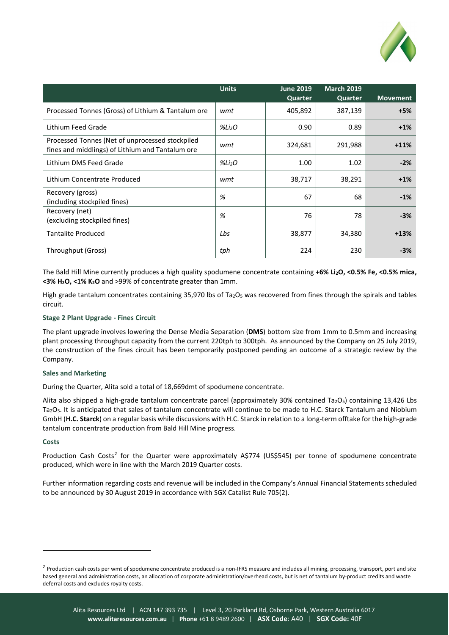

|                                                                                                     | <b>Units</b>       | <b>June 2019</b><br>Quarter | <b>March 2019</b><br>Quarter | <b>Movement</b> |
|-----------------------------------------------------------------------------------------------------|--------------------|-----------------------------|------------------------------|-----------------|
| Processed Tonnes (Gross) of Lithium & Tantalum ore                                                  | wmt                | 405,892                     | 387,139                      | $+5%$           |
| Lithium Feed Grade                                                                                  | %Li <sub>2</sub> O | 0.90                        | 0.89                         | $+1%$           |
| Processed Tonnes (Net of unprocessed stockpiled<br>fines and middlings) of Lithium and Tantalum ore | wmt                | 324,681                     | 291,988                      | $+11%$          |
| Lithium DMS Feed Grade                                                                              | %Li <sub>2</sub> O | 1.00                        | 1.02                         | $-2%$           |
| Lithium Concentrate Produced                                                                        | wmt                | 38,717                      | 38,291                       | $+1%$           |
| Recovery (gross)<br>(including stockpiled fines)                                                    | %                  | 67                          | 68                           | $-1%$           |
| Recovery (net)<br>(excluding stockpiled fines)                                                      | %                  | 76                          | 78                           | $-3%$           |
| <b>Tantalite Produced</b>                                                                           | Lbs                | 38,877                      | 34,380                       | $+13%$          |
| Throughput (Gross)                                                                                  | tph                | 224                         | 230                          | $-3%$           |

The Bald Hill Mine currently produces a high quality spodumene concentrate containing **+6% Li2O, <0.5% Fe, <0.5% mica, <3% H2O, <1% K2O** and >99% of concentrate greater than 1mm.

High grade tantalum concentrates containing 35,970 lbs of Ta<sub>2</sub>O<sub>5</sub> was recovered from fines through the spirals and tables circuit.

#### **Stage 2 Plant Upgrade - Fines Circuit**

The plant upgrade involves lowering the Dense Media Separation (**DMS**) bottom size from 1mm to 0.5mm and increasing plant processing throughput capacity from the current 220tph to 300tph. As announced by the Company on 25 July 2019, the construction of the fines circuit has been temporarily postponed pending an outcome of a strategic review by the Company.

#### **Sales and Marketing**

During the Quarter, Alita sold a total of 18,669dmt of spodumene concentrate.

Alita also shipped a high-grade tantalum concentrate parcel (approximately 30% contained Ta<sub>2</sub>O<sub>5</sub>) containing 13,426 Lbs Ta2O5. It is anticipated that sales of tantalum concentrate will continue to be made to H.C. Starck Tantalum and Niobium GmbH (**H.C. Starck**) on a regular basis while discussions with H.C. Starck in relation to a long-term offtake for the high-grade tantalum concentrate production from Bald Hill Mine progress.

#### **Costs**

1

Production Cash Costs<sup>[2](#page-2-0)</sup> for the Quarter were approximately A\$774 (US\$545) per tonne of spodumene concentrate produced, which were in line with the March 2019 Quarter costs.

Further information regarding costs and revenue will be included in the Company's Annual Financial Statements scheduled to be announced by 30 August 2019 in accordance with SGX Catalist Rule 705(2).

<span id="page-2-0"></span><sup>&</sup>lt;sup>2</sup> Production cash costs per wmt of spodumene concentrate produced is a non-IFRS measure and includes all mining, processing, transport, port and site based general and administration costs, an allocation of corporate administration/overhead costs, but is net of tantalum by-product credits and waste deferral costs and excludes royalty costs.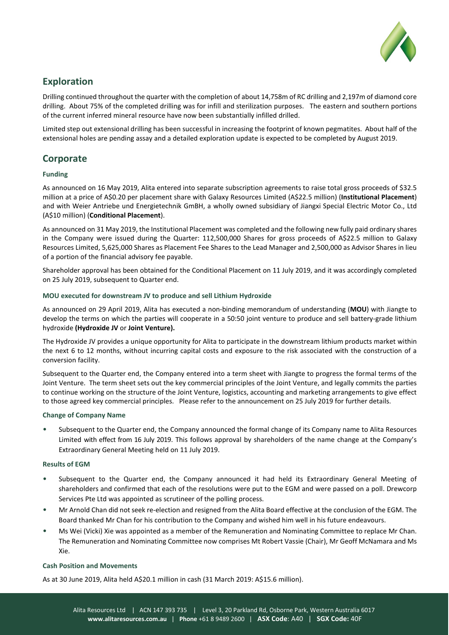

# **Exploration**

Drilling continued throughout the quarter with the completion of about 14,758m of RC drilling and 2,197m of diamond core drilling. About 75% of the completed drilling was for infill and sterilization purposes. The eastern and southern portions of the current inferred mineral resource have now been substantially infilled drilled.

Limited step out extensional drilling has been successful in increasing the footprint of known pegmatites. About half of the extensional holes are pending assay and a detailed exploration update is expected to be completed by August 2019.

# **Corporate**

# **Funding**

As announced on 16 May 2019, Alita entered into separate subscription agreements to raise total gross proceeds of \$32.5 million at a price of A\$0.20 per placement share with Galaxy Resources Limited (A\$22.5 million) (**Institutional Placement**) and with Weier Antriebe und Energietechnik GmBH, a wholly owned subsidiary of Jiangxi Special Electric Motor Co., Ltd (A\$10 million) (**Conditional Placement**).

As announced on 31 May 2019, the Institutional Placement was completed and the following new fully paid ordinary shares in the Company were issued during the Quarter: 112,500,000 Shares for gross proceeds of A\$22.5 million to Galaxy Resources Limited, 5,625,000 Shares as Placement Fee Shares to the Lead Manager and 2,500,000 as Advisor Shares in lieu of a portion of the financial advisory fee payable.

Shareholder approval has been obtained for the Conditional Placement on 11 July 2019, and it was accordingly completed on 25 July 2019, subsequent to Quarter end.

### **MOU executed for downstream JV to produce and sell Lithium Hydroxide**

As announced on 29 April 2019, Alita has executed a non-binding memorandum of understanding (**MOU**) with Jiangte to develop the terms on which the parties will cooperate in a 50:50 joint venture to produce and sell battery-grade lithium hydroxide **(Hydroxide JV** or **Joint Venture).**

The Hydroxide JV provides a unique opportunity for Alita to participate in the downstream lithium products market within the next 6 to 12 months, without incurring capital costs and exposure to the risk associated with the construction of a conversion facility.

Subsequent to the Quarter end, the Company entered into a term sheet with Jiangte to progress the formal terms of the Joint Venture. The term sheet sets out the key commercial principles of the Joint Venture, and legally commits the parties to continue working on the structure of the Joint Venture, logistics, accounting and marketing arrangements to give effect to those agreed key commercial principles. Please refer to the announcement on 25 July 2019 for further details.

# **Change of Company Name**

• Subsequent to the Quarter end, the Company announced the formal change of its Company name to Alita Resources Limited with effect from 16 July 2019. This follows approval by shareholders of the name change at the Company's Extraordinary General Meeting held on 11 July 2019.

# **Results of EGM**

- Subsequent to the Quarter end, the Company announced it had held its Extraordinary General Meeting of shareholders and confirmed that each of the resolutions were put to the EGM and were passed on a poll. Drewcorp Services Pte Ltd was appointed as scrutineer of the polling process.
- Mr Arnold Chan did not seek re-election and resigned from the Alita Board effective at the conclusion of the EGM. The Board thanked Mr Chan for his contribution to the Company and wished him well in his future endeavours.
- Ms Wei (Vicki) Xie was appointed as a member of the Remuneration and Nominating Committee to replace Mr Chan. The Remuneration and Nominating Committee now comprises Mt Robert Vassie (Chair), Mr Geoff McNamara and Ms Xie.

# **Cash Position and Movements**

As at 30 June 2019, Alita held A\$20.1 million in cash (31 March 2019: A\$15.6 million).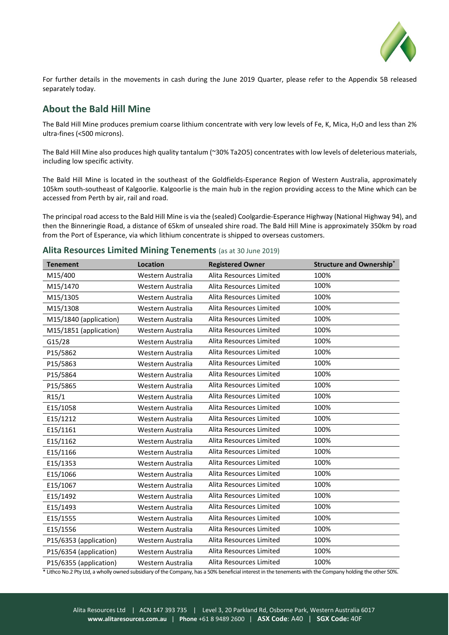

For further details in the movements in cash during the June 2019 Quarter, please refer to the Appendix 5B released separately today.

# **About the Bald Hill Mine**

The Bald Hill Mine produces premium coarse lithium concentrate with very low levels of Fe, K, Mica, H2O and less than 2% ultra-fines (<500 microns).

The Bald Hill Mine also produces high quality tantalum (~30% Ta2O5) concentrates with low levels of deleterious materials, including low specific activity.

The Bald Hill Mine is located in the southeast of the Goldfields-Esperance Region of Western Australia, approximately 105km south-southeast of Kalgoorlie. Kalgoorlie is the main hub in the region providing access to the Mine which can be accessed from Perth by air, rail and road.

The principal road access to the Bald Hill Mine is via the (sealed) Coolgardie-Esperance Highway (National Highway 94), and then the Binneringie Road, a distance of 65km of unsealed shire road. The Bald Hill Mine is approximately 350km by road from the Port of Esperance, via which lithium concentrate is shipped to overseas customers.

### **Alita Resources Limited Mining Tenements** (as at 30 June 2019)

| <b>Tenement</b>        | <b>Location</b>   | <b>Registered Owner</b> | <b>Structure and Ownership*</b> |
|------------------------|-------------------|-------------------------|---------------------------------|
| M15/400                | Western Australia | Alita Resources Limited | 100%                            |
| M15/1470               | Western Australia | Alita Resources Limited | 100%                            |
| M15/1305               | Western Australia | Alita Resources Limited | 100%                            |
| M15/1308               | Western Australia | Alita Resources Limited | 100%                            |
| M15/1840 (application) | Western Australia | Alita Resources Limited | 100%                            |
| M15/1851 (application) | Western Australia | Alita Resources Limited | 100%                            |
| G15/28                 | Western Australia | Alita Resources Limited | 100%                            |
| P15/5862               | Western Australia | Alita Resources Limited | 100%                            |
| P15/5863               | Western Australia | Alita Resources Limited | 100%                            |
| P15/5864               | Western Australia | Alita Resources Limited | 100%                            |
| P15/5865               | Western Australia | Alita Resources Limited | 100%                            |
| R15/1                  | Western Australia | Alita Resources Limited | 100%                            |
| E15/1058               | Western Australia | Alita Resources Limited | 100%                            |
| E15/1212               | Western Australia | Alita Resources Limited | 100%                            |
| E15/1161               | Western Australia | Alita Resources Limited | 100%                            |
| E15/1162               | Western Australia | Alita Resources Limited | 100%                            |
| E15/1166               | Western Australia | Alita Resources Limited | 100%                            |
| E15/1353               | Western Australia | Alita Resources Limited | 100%                            |
| E15/1066               | Western Australia | Alita Resources Limited | 100%                            |
| E15/1067               | Western Australia | Alita Resources Limited | 100%                            |
| E15/1492               | Western Australia | Alita Resources Limited | 100%                            |
| E15/1493               | Western Australia | Alita Resources Limited | 100%                            |
| E15/1555               | Western Australia | Alita Resources Limited | 100%                            |
| E15/1556               | Western Australia | Alita Resources Limited | 100%                            |
| P15/6353 (application) | Western Australia | Alita Resources Limited | 100%                            |
| P15/6354 (application) | Western Australia | Alita Resources Limited | 100%                            |
| P15/6355 (application) | Western Australia | Alita Resources Limited | 100%                            |

\* Lithco No.2 Pty Ltd, a wholly owned subsidiary of the Company, has a 50% beneficial interest in the tenements with the Company holding the other 50%.